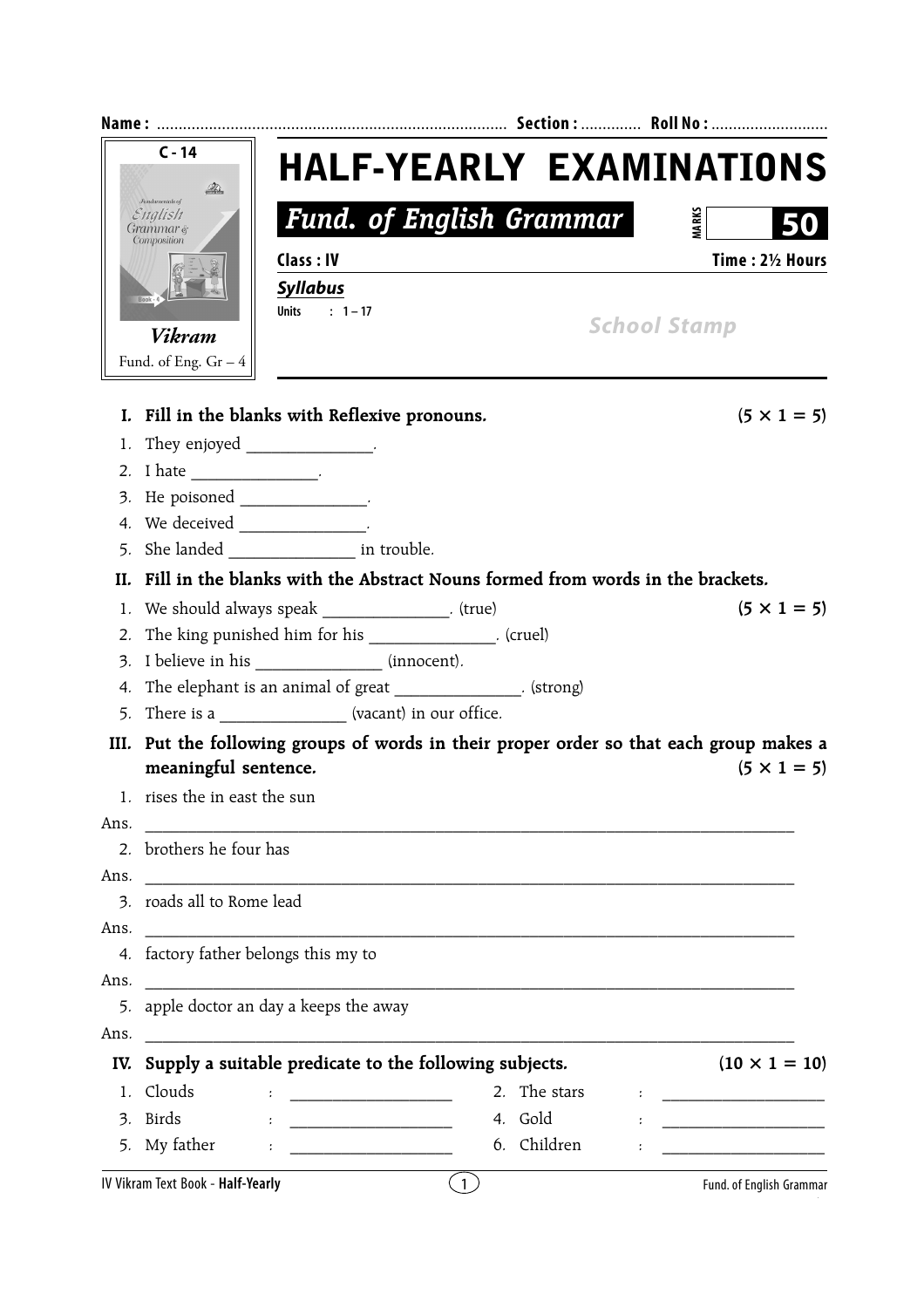|                                                       | $C - 14$                                                                                | <b>HALF-YEARLY EXAMINATIONS</b>                                                                                      |                                                                                   |                   |                                                                                                                      |  |  |  |
|-------------------------------------------------------|-----------------------------------------------------------------------------------------|----------------------------------------------------------------------------------------------------------------------|-----------------------------------------------------------------------------------|-------------------|----------------------------------------------------------------------------------------------------------------------|--|--|--|
| <b><i>fundamentals of</i></b><br>English<br>Grammar & |                                                                                         | <b>Fund. of English Grammar</b>                                                                                      |                                                                                   |                   | <b>MARKS</b>                                                                                                         |  |  |  |
|                                                       | Composition                                                                             | Class: IV                                                                                                            |                                                                                   |                   | Time: 21/2 Hours                                                                                                     |  |  |  |
|                                                       |                                                                                         | <b>Syllabus</b>                                                                                                      |                                                                                   |                   |                                                                                                                      |  |  |  |
|                                                       |                                                                                         | Units : $1-17$                                                                                                       |                                                                                   |                   |                                                                                                                      |  |  |  |
|                                                       | <b>Vikram</b>                                                                           |                                                                                                                      |                                                                                   |                   | <b>School Stamp</b>                                                                                                  |  |  |  |
|                                                       | Fund. of Eng. $Gr-4$                                                                    |                                                                                                                      |                                                                                   |                   |                                                                                                                      |  |  |  |
|                                                       |                                                                                         | I. Fill in the blanks with Reflexive pronouns.                                                                       |                                                                                   |                   | $(5 \times 1 = 5)$                                                                                                   |  |  |  |
| 1.                                                    |                                                                                         | They enjoyed ________________.                                                                                       |                                                                                   |                   |                                                                                                                      |  |  |  |
|                                                       |                                                                                         |                                                                                                                      |                                                                                   |                   |                                                                                                                      |  |  |  |
|                                                       |                                                                                         | 3. He poisoned ________________.                                                                                     |                                                                                   |                   |                                                                                                                      |  |  |  |
|                                                       | 4. We deceived ________________.                                                        |                                                                                                                      |                                                                                   |                   |                                                                                                                      |  |  |  |
|                                                       |                                                                                         | 5. She landed ______________________ in trouble.                                                                     |                                                                                   |                   |                                                                                                                      |  |  |  |
|                                                       |                                                                                         |                                                                                                                      | II. Fill in the blanks with the Abstract Nouns formed from words in the brackets. |                   |                                                                                                                      |  |  |  |
|                                                       | 1. We should always speak _______________. (true)<br>$(5 \times 1 = 5)$                 |                                                                                                                      |                                                                                   |                   |                                                                                                                      |  |  |  |
| 2.                                                    |                                                                                         |                                                                                                                      | The king punished him for his ___________________. (cruel)                        |                   |                                                                                                                      |  |  |  |
| 3.                                                    |                                                                                         | I believe in his ________________ (innocent).                                                                        |                                                                                   |                   |                                                                                                                      |  |  |  |
| 4.                                                    |                                                                                         |                                                                                                                      | The elephant is an animal of great ______________. (strong)                       |                   |                                                                                                                      |  |  |  |
|                                                       |                                                                                         | 5. There is a ________________ (vacant) in our office.                                                               |                                                                                   |                   |                                                                                                                      |  |  |  |
|                                                       | III. Put the following groups of words in their proper order so that each group makes a |                                                                                                                      |                                                                                   |                   |                                                                                                                      |  |  |  |
|                                                       | meaningful sentence.<br>$(5 \times 1 = 5)$                                              |                                                                                                                      |                                                                                   |                   |                                                                                                                      |  |  |  |
|                                                       | 1. rises the in east the sun                                                            |                                                                                                                      |                                                                                   |                   |                                                                                                                      |  |  |  |
| Ans.                                                  |                                                                                         | <u> 2000 - 2000 - 2000 - 2000 - 2000 - 2000 - 2000 - 2000 - 2000 - 2000 - 2000 - 2000 - 2000 - 2000 - 2000 - 200</u> |                                                                                   |                   |                                                                                                                      |  |  |  |
| 2 <sub>1</sub>                                        | brothers he four has                                                                    |                                                                                                                      |                                                                                   |                   |                                                                                                                      |  |  |  |
| Ans.                                                  |                                                                                         |                                                                                                                      |                                                                                   |                   |                                                                                                                      |  |  |  |
|                                                       | 3. roads all to Rome lead                                                               |                                                                                                                      |                                                                                   |                   |                                                                                                                      |  |  |  |
| Ans.                                                  |                                                                                         |                                                                                                                      |                                                                                   |                   |                                                                                                                      |  |  |  |
|                                                       | 4. factory father belongs this my to                                                    |                                                                                                                      |                                                                                   |                   |                                                                                                                      |  |  |  |
| Ans.                                                  |                                                                                         |                                                                                                                      |                                                                                   |                   |                                                                                                                      |  |  |  |
| 5.                                                    | apple doctor an day a keeps the away                                                    |                                                                                                                      |                                                                                   |                   |                                                                                                                      |  |  |  |
| Ans.                                                  |                                                                                         |                                                                                                                      |                                                                                   |                   |                                                                                                                      |  |  |  |
| IV.                                                   |                                                                                         |                                                                                                                      | Supply a suitable predicate to the following subjects.                            |                   | $(10 \times 1 = 10)$                                                                                                 |  |  |  |
| 1.                                                    | Clouds                                                                                  |                                                                                                                      |                                                                                   | 2. The stars<br>÷ |                                                                                                                      |  |  |  |
| 3.                                                    | <b>Birds</b>                                                                            |                                                                                                                      | 4. Gold                                                                           |                   | <u> 1989 - Johann John Stone, mars eta biztanleria (</u>                                                             |  |  |  |
|                                                       | 5. My father                                                                            | $\ddot{\phantom{a}}$                                                                                                 |                                                                                   | 6. Children       | <u> 1980 - Johann Barn, mars ar breithinn ar breithinn ar breithinn ar breithinn ar breithinn ar breithinn ar br</u> |  |  |  |
|                                                       | IV Vikram Text Book - Half-Yearly                                                       |                                                                                                                      | $\left(1\right)$                                                                  |                   | Fund. of English Grammar                                                                                             |  |  |  |